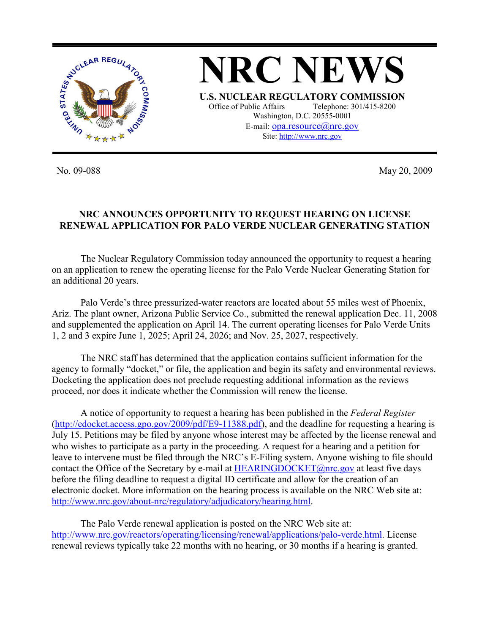

No. 09-088 May 20, 2009

## **NRC ANNOUNCES OPPORTUNITY TO REQUEST HEARING ON LICENSE RENEWAL APPLICATION FOR PALO VERDE NUCLEAR GENERATING STATION**

The Nuclear Regulatory Commission today announced the opportunity to request a hearing on an application to renew the operating license for the Palo Verde Nuclear Generating Station for an additional 20 years.

 Palo Verde's three pressurized-water reactors are located about 55 miles west of Phoenix, Ariz. The plant owner, Arizona Public Service Co., submitted the renewal application Dec. 11, 2008 and supplemented the application on April 14. The current operating licenses for Palo Verde Units 1, 2 and 3 expire June 1, 2025; April 24, 2026; and Nov. 25, 2027, respectively.

 The NRC staff has determined that the application contains sufficient information for the agency to formally "docket," or file, the application and begin its safety and environmental reviews. Docketing the application does not preclude requesting additional information as the reviews proceed, nor does it indicate whether the Commission will renew the license.

A notice of opportunity to request a hearing has been published in the *Federal Register* (http://edocket.access.gpo.gov/2009/pdf/E9-11388.pdf), and the deadline for requesting a hearing is July 15. Petitions may be filed by anyone whose interest may be affected by the license renewal and who wishes to participate as a party in the proceeding. A request for a hearing and a petition for leave to intervene must be filed through the NRC's E-Filing system. Anyone wishing to file should contact the Office of the Secretary by e-mail at  $HEARNINGDOCKET@nrc.gov$  at least five days before the filing deadline to request a digital ID certificate and allow for the creation of an electronic docket. More information on the hearing process is available on the NRC Web site at: http://www.nrc.gov/about-nrc/regulatory/adjudicatory/hearing.html.

 The Palo Verde renewal application is posted on the NRC Web site at: http://www.nrc.gov/reactors/operating/licensing/renewal/applications/palo-verde.html. License renewal reviews typically take 22 months with no hearing, or 30 months if a hearing is granted.